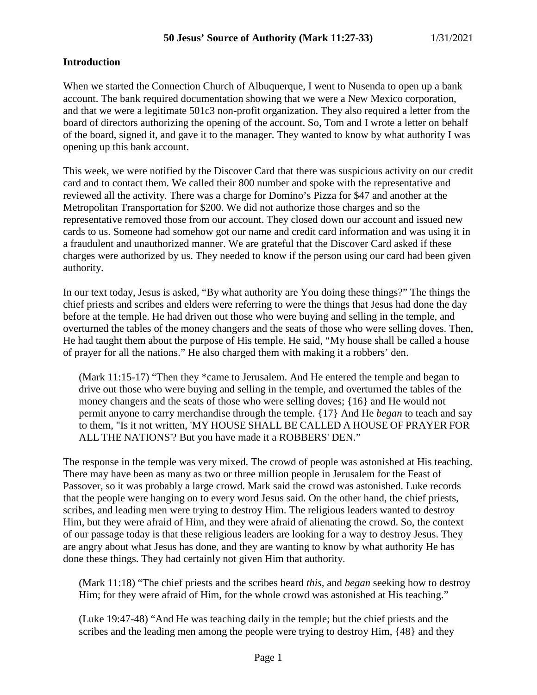### **Introduction**

When we started the Connection Church of Albuquerque, I went to Nusenda to open up a bank account. The bank required documentation showing that we were a New Mexico corporation, and that we were a legitimate 501c3 non-profit organization. They also required a letter from the board of directors authorizing the opening of the account. So, Tom and I wrote a letter on behalf of the board, signed it, and gave it to the manager. They wanted to know by what authority I was opening up this bank account.

This week, we were notified by the Discover Card that there was suspicious activity on our credit card and to contact them. We called their 800 number and spoke with the representative and reviewed all the activity. There was a charge for Domino's Pizza for \$47 and another at the Metropolitan Transportation for \$200. We did not authorize those charges and so the representative removed those from our account. They closed down our account and issued new cards to us. Someone had somehow got our name and credit card information and was using it in a fraudulent and unauthorized manner. We are grateful that the Discover Card asked if these charges were authorized by us. They needed to know if the person using our card had been given authority.

In our text today, Jesus is asked, "By what authority are You doing these things?" The things the chief priests and scribes and elders were referring to were the things that Jesus had done the day before at the temple. He had driven out those who were buying and selling in the temple, and overturned the tables of the money changers and the seats of those who were selling doves. Then, He had taught them about the purpose of His temple. He said, "My house shall be called a house of prayer for all the nations." He also charged them with making it a robbers' den.

(Mark 11:15-17) "Then they \*came to Jerusalem. And He entered the temple and began to drive out those who were buying and selling in the temple, and overturned the tables of the money changers and the seats of those who were selling doves; {16} and He would not permit anyone to carry merchandise through the temple. {17} And He *began* to teach and say to them, "Is it not written, 'MY HOUSE SHALL BE CALLED A HOUSE OF PRAYER FOR ALL THE NATIONS'? But you have made it a ROBBERS' DEN."

The response in the temple was very mixed. The crowd of people was astonished at His teaching. There may have been as many as two or three million people in Jerusalem for the Feast of Passover, so it was probably a large crowd. Mark said the crowd was astonished. Luke records that the people were hanging on to every word Jesus said. On the other hand, the chief priests, scribes, and leading men were trying to destroy Him. The religious leaders wanted to destroy Him, but they were afraid of Him, and they were afraid of alienating the crowd. So, the context of our passage today is that these religious leaders are looking for a way to destroy Jesus. They are angry about what Jesus has done, and they are wanting to know by what authority He has done these things. They had certainly not given Him that authority.

(Mark 11:18) "The chief priests and the scribes heard *this,* and *began* seeking how to destroy Him; for they were afraid of Him, for the whole crowd was astonished at His teaching."

(Luke 19:47-48) "And He was teaching daily in the temple; but the chief priests and the scribes and the leading men among the people were trying to destroy Him, {48} and they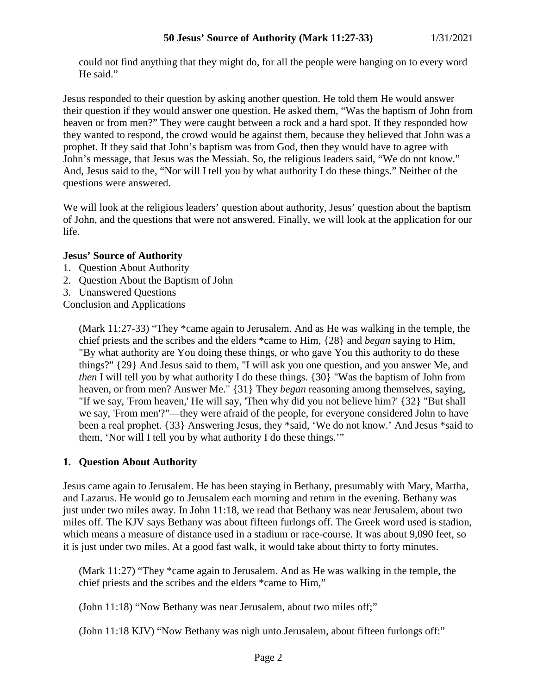could not find anything that they might do, for all the people were hanging on to every word He said."

Jesus responded to their question by asking another question. He told them He would answer their question if they would answer one question. He asked them, "Was the baptism of John from heaven or from men?" They were caught between a rock and a hard spot. If they responded how they wanted to respond, the crowd would be against them, because they believed that John was a prophet. If they said that John's baptism was from God, then they would have to agree with John's message, that Jesus was the Messiah. So, the religious leaders said, "We do not know." And, Jesus said to the, "Nor will I tell you by what authority I do these things." Neither of the questions were answered.

We will look at the religious leaders' question about authority, Jesus' question about the baptism of John, and the questions that were not answered. Finally, we will look at the application for our life.

### **Jesus' Source of Authority**

- 1. Question About Authority
- 2. Question About the Baptism of John
- 3. Unanswered Questions

Conclusion and Applications

(Mark 11:27-33) "They \*came again to Jerusalem. And as He was walking in the temple, the chief priests and the scribes and the elders \*came to Him, {28} and *began* saying to Him, "By what authority are You doing these things, or who gave You this authority to do these things?" {29} And Jesus said to them, "I will ask you one question, and you answer Me, and *then* I will tell you by what authority I do these things. {30} "Was the baptism of John from heaven, or from men? Answer Me." {31} They *began* reasoning among themselves, saying, "If we say, 'From heaven,' He will say, 'Then why did you not believe him?' {32} "But shall we say, 'From men'?"—they were afraid of the people, for everyone considered John to have been a real prophet. {33} Answering Jesus, they \*said, 'We do not know.' And Jesus \*said to them, 'Nor will I tell you by what authority I do these things.'"

### **1. Question About Authority**

Jesus came again to Jerusalem. He has been staying in Bethany, presumably with Mary, Martha, and Lazarus. He would go to Jerusalem each morning and return in the evening. Bethany was just under two miles away. In John 11:18, we read that Bethany was near Jerusalem, about two miles off. The KJV says Bethany was about fifteen furlongs off. The Greek word used is stadion, which means a measure of distance used in a stadium or race-course. It was about 9,090 feet, so it is just under two miles. At a good fast walk, it would take about thirty to forty minutes.

(Mark 11:27) "They \*came again to Jerusalem. And as He was walking in the temple, the chief priests and the scribes and the elders \*came to Him,"

(John 11:18) "Now Bethany was near Jerusalem, about two miles off;"

(John 11:18 KJV) "Now Bethany was nigh unto Jerusalem, about fifteen furlongs off:"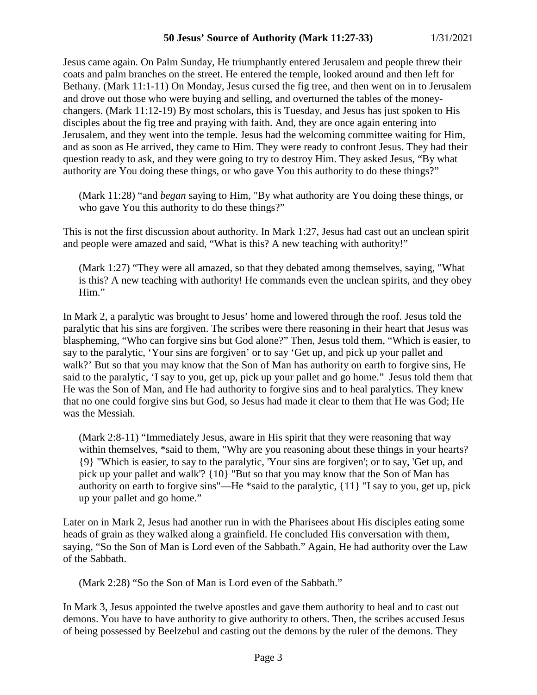Jesus came again. On Palm Sunday, He triumphantly entered Jerusalem and people threw their coats and palm branches on the street. He entered the temple, looked around and then left for Bethany. (Mark 11:1-11) On Monday, Jesus cursed the fig tree, and then went on in to Jerusalem and drove out those who were buying and selling, and overturned the tables of the moneychangers. (Mark 11:12-19) By most scholars, this is Tuesday, and Jesus has just spoken to His disciples about the fig tree and praying with faith. And, they are once again entering into Jerusalem, and they went into the temple. Jesus had the welcoming committee waiting for Him, and as soon as He arrived, they came to Him. They were ready to confront Jesus. They had their question ready to ask, and they were going to try to destroy Him. They asked Jesus, "By what authority are You doing these things, or who gave You this authority to do these things?"

(Mark 11:28) "and *began* saying to Him, "By what authority are You doing these things, or who gave You this authority to do these things?"

This is not the first discussion about authority. In Mark 1:27, Jesus had cast out an unclean spirit and people were amazed and said, "What is this? A new teaching with authority!"

(Mark 1:27) "They were all amazed, so that they debated among themselves, saying, "What is this? A new teaching with authority! He commands even the unclean spirits, and they obey Him."

In Mark 2, a paralytic was brought to Jesus' home and lowered through the roof. Jesus told the paralytic that his sins are forgiven. The scribes were there reasoning in their heart that Jesus was blaspheming, "Who can forgive sins but God alone?" Then, Jesus told them, "Which is easier, to say to the paralytic, 'Your sins are forgiven' or to say 'Get up, and pick up your pallet and walk?' But so that you may know that the Son of Man has authority on earth to forgive sins, He said to the paralytic, 'I say to you, get up, pick up your pallet and go home." Jesus told them that He was the Son of Man, and He had authority to forgive sins and to heal paralytics. They knew that no one could forgive sins but God, so Jesus had made it clear to them that He was God; He was the Messiah.

(Mark 2:8-11) "Immediately Jesus, aware in His spirit that they were reasoning that way within themselves, \*said to them, "Why are you reasoning about these things in your hearts? {9} "Which is easier, to say to the paralytic, 'Your sins are forgiven'; or to say, 'Get up, and pick up your pallet and walk'? {10} "But so that you may know that the Son of Man has authority on earth to forgive sins"—He \*said to the paralytic, {11} "I say to you, get up, pick up your pallet and go home."

Later on in Mark 2, Jesus had another run in with the Pharisees about His disciples eating some heads of grain as they walked along a grainfield. He concluded His conversation with them, saying, "So the Son of Man is Lord even of the Sabbath." Again, He had authority over the Law of the Sabbath.

(Mark 2:28) "So the Son of Man is Lord even of the Sabbath."

In Mark 3, Jesus appointed the twelve apostles and gave them authority to heal and to cast out demons. You have to have authority to give authority to others. Then, the scribes accused Jesus of being possessed by Beelzebul and casting out the demons by the ruler of the demons. They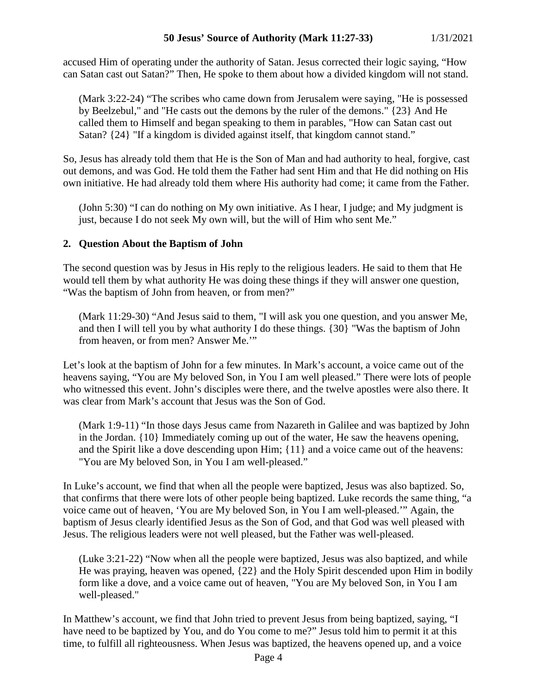accused Him of operating under the authority of Satan. Jesus corrected their logic saying, "How can Satan cast out Satan?" Then, He spoke to them about how a divided kingdom will not stand.

(Mark 3:22-24) "The scribes who came down from Jerusalem were saying, "He is possessed by Beelzebul," and "He casts out the demons by the ruler of the demons." {23} And He called them to Himself and began speaking to them in parables, "How can Satan cast out Satan? {24} "If a kingdom is divided against itself, that kingdom cannot stand."

So, Jesus has already told them that He is the Son of Man and had authority to heal, forgive, cast out demons, and was God. He told them the Father had sent Him and that He did nothing on His own initiative. He had already told them where His authority had come; it came from the Father.

(John 5:30) "I can do nothing on My own initiative. As I hear, I judge; and My judgment is just, because I do not seek My own will, but the will of Him who sent Me."

## **2. Question About the Baptism of John**

The second question was by Jesus in His reply to the religious leaders. He said to them that He would tell them by what authority He was doing these things if they will answer one question, "Was the baptism of John from heaven, or from men?"

(Mark 11:29-30) "And Jesus said to them, "I will ask you one question, and you answer Me, and then I will tell you by what authority I do these things. {30} "Was the baptism of John from heaven, or from men? Answer Me.'"

Let's look at the baptism of John for a few minutes. In Mark's account, a voice came out of the heavens saying, "You are My beloved Son, in You I am well pleased." There were lots of people who witnessed this event. John's disciples were there, and the twelve apostles were also there. It was clear from Mark's account that Jesus was the Son of God.

(Mark 1:9-11) "In those days Jesus came from Nazareth in Galilee and was baptized by John in the Jordan. {10} Immediately coming up out of the water, He saw the heavens opening, and the Spirit like a dove descending upon Him; {11} and a voice came out of the heavens: "You are My beloved Son, in You I am well-pleased."

In Luke's account, we find that when all the people were baptized, Jesus was also baptized. So, that confirms that there were lots of other people being baptized. Luke records the same thing, "a voice came out of heaven, 'You are My beloved Son, in You I am well-pleased.'" Again, the baptism of Jesus clearly identified Jesus as the Son of God, and that God was well pleased with Jesus. The religious leaders were not well pleased, but the Father was well-pleased.

(Luke 3:21-22) "Now when all the people were baptized, Jesus was also baptized, and while He was praying, heaven was opened, {22} and the Holy Spirit descended upon Him in bodily form like a dove, and a voice came out of heaven, "You are My beloved Son, in You I am well-pleased."

In Matthew's account, we find that John tried to prevent Jesus from being baptized, saying, "I have need to be baptized by You, and do You come to me?" Jesus told him to permit it at this time, to fulfill all righteousness. When Jesus was baptized, the heavens opened up, and a voice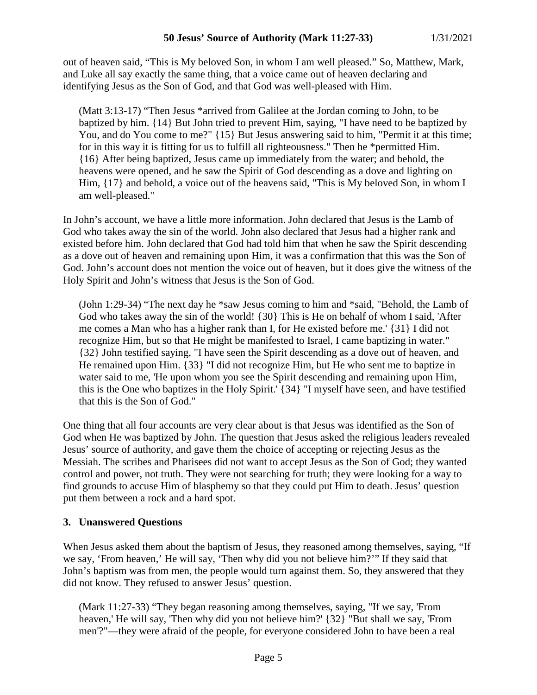out of heaven said, "This is My beloved Son, in whom I am well pleased." So, Matthew, Mark, and Luke all say exactly the same thing, that a voice came out of heaven declaring and identifying Jesus as the Son of God, and that God was well-pleased with Him.

(Matt 3:13-17) "Then Jesus \*arrived from Galilee at the Jordan coming to John, to be baptized by him. {14} But John tried to prevent Him, saying, "I have need to be baptized by You, and do You come to me?" {15} But Jesus answering said to him, "Permit it at this time; for in this way it is fitting for us to fulfill all righteousness." Then he \*permitted Him. {16} After being baptized, Jesus came up immediately from the water; and behold, the heavens were opened, and he saw the Spirit of God descending as a dove and lighting on Him,  $\{17\}$  and behold, a voice out of the heavens said, "This is My beloved Son, in whom I am well-pleased."

In John's account, we have a little more information. John declared that Jesus is the Lamb of God who takes away the sin of the world. John also declared that Jesus had a higher rank and existed before him. John declared that God had told him that when he saw the Spirit descending as a dove out of heaven and remaining upon Him, it was a confirmation that this was the Son of God. John's account does not mention the voice out of heaven, but it does give the witness of the Holy Spirit and John's witness that Jesus is the Son of God.

(John 1:29-34) "The next day he \*saw Jesus coming to him and \*said, "Behold, the Lamb of God who takes away the sin of the world! {30} This is He on behalf of whom I said, 'After me comes a Man who has a higher rank than I, for He existed before me.' {31} I did not recognize Him, but so that He might be manifested to Israel, I came baptizing in water." {32} John testified saying, "I have seen the Spirit descending as a dove out of heaven, and He remained upon Him. {33} "I did not recognize Him, but He who sent me to baptize in water said to me, 'He upon whom you see the Spirit descending and remaining upon Him, this is the One who baptizes in the Holy Spirit.' {34} "I myself have seen, and have testified that this is the Son of God."

One thing that all four accounts are very clear about is that Jesus was identified as the Son of God when He was baptized by John. The question that Jesus asked the religious leaders revealed Jesus' source of authority, and gave them the choice of accepting or rejecting Jesus as the Messiah. The scribes and Pharisees did not want to accept Jesus as the Son of God; they wanted control and power, not truth. They were not searching for truth; they were looking for a way to find grounds to accuse Him of blasphemy so that they could put Him to death. Jesus' question put them between a rock and a hard spot.

# **3. Unanswered Questions**

When Jesus asked them about the baptism of Jesus, they reasoned among themselves, saying, "If we say, 'From heaven,' He will say, 'Then why did you not believe him?'" If they said that John's baptism was from men, the people would turn against them. So, they answered that they did not know. They refused to answer Jesus' question.

(Mark 11:27-33) "They began reasoning among themselves, saying, "If we say, 'From heaven,' He will say, 'Then why did you not believe him?' {32} "But shall we say, 'From men'?"—they were afraid of the people, for everyone considered John to have been a real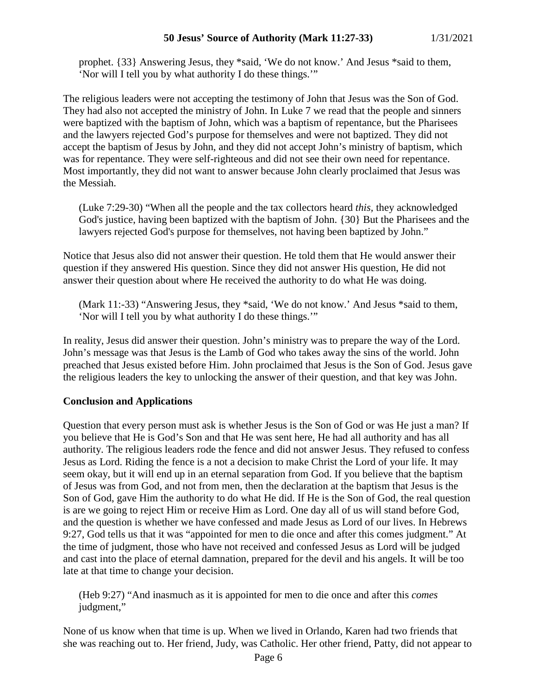prophet. {33} Answering Jesus, they \*said, 'We do not know.' And Jesus \*said to them, 'Nor will I tell you by what authority I do these things.'"

The religious leaders were not accepting the testimony of John that Jesus was the Son of God. They had also not accepted the ministry of John. In Luke 7 we read that the people and sinners were baptized with the baptism of John, which was a baptism of repentance, but the Pharisees and the lawyers rejected God's purpose for themselves and were not baptized. They did not accept the baptism of Jesus by John, and they did not accept John's ministry of baptism, which was for repentance. They were self-righteous and did not see their own need for repentance. Most importantly, they did not want to answer because John clearly proclaimed that Jesus was the Messiah.

(Luke 7:29-30) "When all the people and the tax collectors heard *this,* they acknowledged God's justice, having been baptized with the baptism of John. {30} But the Pharisees and the lawyers rejected God's purpose for themselves, not having been baptized by John."

Notice that Jesus also did not answer their question. He told them that He would answer their question if they answered His question. Since they did not answer His question, He did not answer their question about where He received the authority to do what He was doing.

(Mark 11:-33) "Answering Jesus, they \*said, 'We do not know.' And Jesus \*said to them, 'Nor will I tell you by what authority I do these things.'"

In reality, Jesus did answer their question. John's ministry was to prepare the way of the Lord. John's message was that Jesus is the Lamb of God who takes away the sins of the world. John preached that Jesus existed before Him. John proclaimed that Jesus is the Son of God. Jesus gave the religious leaders the key to unlocking the answer of their question, and that key was John.

# **Conclusion and Applications**

Question that every person must ask is whether Jesus is the Son of God or was He just a man? If you believe that He is God's Son and that He was sent here, He had all authority and has all authority. The religious leaders rode the fence and did not answer Jesus. They refused to confess Jesus as Lord. Riding the fence is a not a decision to make Christ the Lord of your life. It may seem okay, but it will end up in an eternal separation from God. If you believe that the baptism of Jesus was from God, and not from men, then the declaration at the baptism that Jesus is the Son of God, gave Him the authority to do what He did. If He is the Son of God, the real question is are we going to reject Him or receive Him as Lord. One day all of us will stand before God, and the question is whether we have confessed and made Jesus as Lord of our lives. In Hebrews 9:27, God tells us that it was "appointed for men to die once and after this comes judgment." At the time of judgment, those who have not received and confessed Jesus as Lord will be judged and cast into the place of eternal damnation, prepared for the devil and his angels. It will be too late at that time to change your decision.

(Heb 9:27) "And inasmuch as it is appointed for men to die once and after this *comes* judgment,"

None of us know when that time is up. When we lived in Orlando, Karen had two friends that she was reaching out to. Her friend, Judy, was Catholic. Her other friend, Patty, did not appear to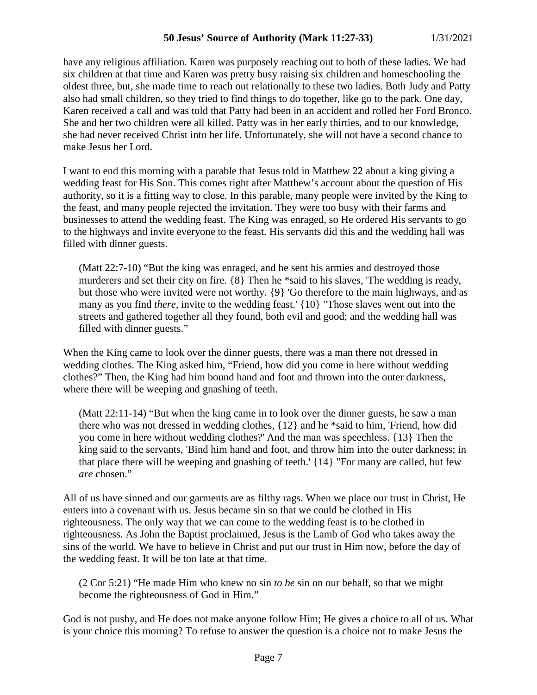have any religious affiliation. Karen was purposely reaching out to both of these ladies. We had six children at that time and Karen was pretty busy raising six children and homeschooling the oldest three, but, she made time to reach out relationally to these two ladies. Both Judy and Patty also had small children, so they tried to find things to do together, like go to the park. One day, Karen received a call and was told that Patty had been in an accident and rolled her Ford Bronco. She and her two children were all killed. Patty was in her early thirties, and to our knowledge, she had never received Christ into her life. Unfortunately, she will not have a second chance to make Jesus her Lord.

I want to end this morning with a parable that Jesus told in Matthew 22 about a king giving a wedding feast for His Son. This comes right after Matthew's account about the question of His authority, so it is a fitting way to close. In this parable, many people were invited by the King to the feast, and many people rejected the invitation. They were too busy with their farms and businesses to attend the wedding feast. The King was enraged, so He ordered His servants to go to the highways and invite everyone to the feast. His servants did this and the wedding hall was filled with dinner guests.

(Matt 22:7-10) "But the king was enraged, and he sent his armies and destroyed those murderers and set their city on fire. {8} Then he \*said to his slaves, 'The wedding is ready, but those who were invited were not worthy. {9} 'Go therefore to the main highways, and as many as you find *there,* invite to the wedding feast.' {10} "Those slaves went out into the streets and gathered together all they found, both evil and good; and the wedding hall was filled with dinner guests."

When the King came to look over the dinner guests, there was a man there not dressed in wedding clothes. The King asked him, "Friend, how did you come in here without wedding clothes?" Then, the King had him bound hand and foot and thrown into the outer darkness, where there will be weeping and gnashing of teeth.

(Matt 22:11-14) "But when the king came in to look over the dinner guests, he saw a man there who was not dressed in wedding clothes, {12} and he \*said to him, 'Friend, how did you come in here without wedding clothes?' And the man was speechless. {13} Then the king said to the servants, 'Bind him hand and foot, and throw him into the outer darkness; in that place there will be weeping and gnashing of teeth.' {14} "For many are called, but few *are* chosen."

All of us have sinned and our garments are as filthy rags. When we place our trust in Christ, He enters into a covenant with us. Jesus became sin so that we could be clothed in His righteousness. The only way that we can come to the wedding feast is to be clothed in righteousness. As John the Baptist proclaimed, Jesus is the Lamb of God who takes away the sins of the world. We have to believe in Christ and put our trust in Him now, before the day of the wedding feast. It will be too late at that time.

(2 Cor 5:21) "He made Him who knew no sin *to be* sin on our behalf, so that we might become the righteousness of God in Him."

God is not pushy, and He does not make anyone follow Him; He gives a choice to all of us. What is your choice this morning? To refuse to answer the question is a choice not to make Jesus the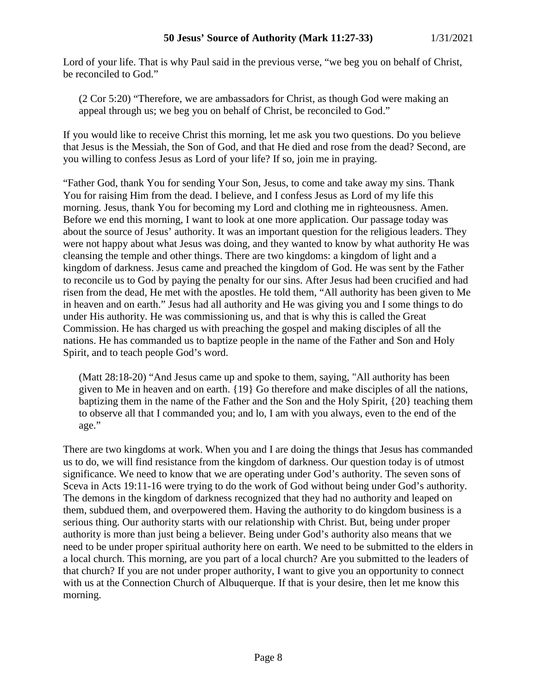Lord of your life. That is why Paul said in the previous verse, "we beg you on behalf of Christ, be reconciled to God."

(2 Cor 5:20) "Therefore, we are ambassadors for Christ, as though God were making an appeal through us; we beg you on behalf of Christ, be reconciled to God."

If you would like to receive Christ this morning, let me ask you two questions. Do you believe that Jesus is the Messiah, the Son of God, and that He died and rose from the dead? Second, are you willing to confess Jesus as Lord of your life? If so, join me in praying.

"Father God, thank You for sending Your Son, Jesus, to come and take away my sins. Thank You for raising Him from the dead. I believe, and I confess Jesus as Lord of my life this morning. Jesus, thank You for becoming my Lord and clothing me in righteousness. Amen. Before we end this morning, I want to look at one more application. Our passage today was about the source of Jesus' authority. It was an important question for the religious leaders. They were not happy about what Jesus was doing, and they wanted to know by what authority He was cleansing the temple and other things. There are two kingdoms: a kingdom of light and a kingdom of darkness. Jesus came and preached the kingdom of God. He was sent by the Father to reconcile us to God by paying the penalty for our sins. After Jesus had been crucified and had risen from the dead, He met with the apostles. He told them, "All authority has been given to Me in heaven and on earth." Jesus had all authority and He was giving you and I some things to do under His authority. He was commissioning us, and that is why this is called the Great Commission. He has charged us with preaching the gospel and making disciples of all the nations. He has commanded us to baptize people in the name of the Father and Son and Holy Spirit, and to teach people God's word.

(Matt 28:18-20) "And Jesus came up and spoke to them, saying, "All authority has been given to Me in heaven and on earth. {19} Go therefore and make disciples of all the nations, baptizing them in the name of the Father and the Son and the Holy Spirit, {20} teaching them to observe all that I commanded you; and lo, I am with you always, even to the end of the age."

There are two kingdoms at work. When you and I are doing the things that Jesus has commanded us to do, we will find resistance from the kingdom of darkness. Our question today is of utmost significance. We need to know that we are operating under God's authority. The seven sons of Sceva in Acts 19:11-16 were trying to do the work of God without being under God's authority. The demons in the kingdom of darkness recognized that they had no authority and leaped on them, subdued them, and overpowered them. Having the authority to do kingdom business is a serious thing. Our authority starts with our relationship with Christ. But, being under proper authority is more than just being a believer. Being under God's authority also means that we need to be under proper spiritual authority here on earth. We need to be submitted to the elders in a local church. This morning, are you part of a local church? Are you submitted to the leaders of that church? If you are not under proper authority, I want to give you an opportunity to connect with us at the Connection Church of Albuquerque. If that is your desire, then let me know this morning.